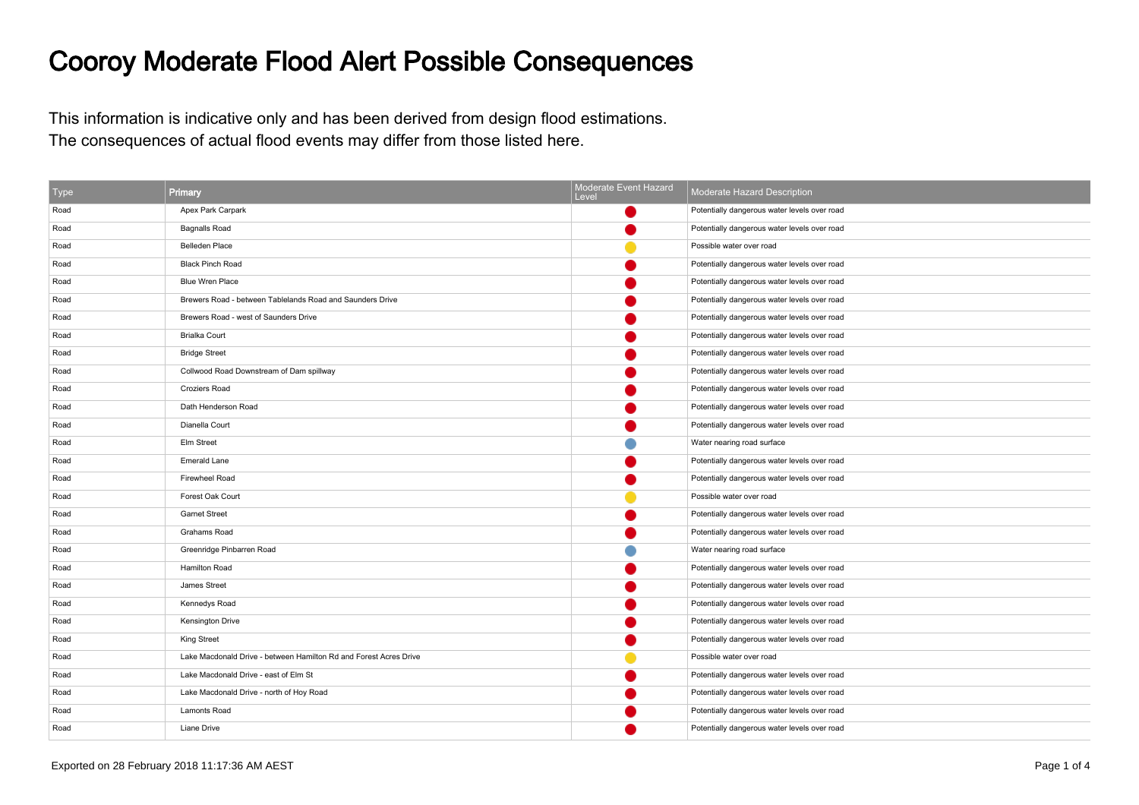## Cooroy Moderate Flood Alert Possible Consequences

This information is indicative only and has been derived from design flood estimations.The consequences of actual flood events may differ from those listed here.

| Type | Primary                                                           | Moderate Event Hazard<br>Level | Moderate Hazard Description                  |
|------|-------------------------------------------------------------------|--------------------------------|----------------------------------------------|
| Road | Apex Park Carpark                                                 |                                | Potentially dangerous water levels over road |
| Road | <b>Bagnalls Road</b>                                              |                                | Potentially dangerous water levels over road |
| Road | <b>Belleden Place</b>                                             |                                | Possible water over road                     |
| Road | <b>Black Pinch Road</b>                                           |                                | Potentially dangerous water levels over road |
| Road | <b>Blue Wren Place</b>                                            |                                | Potentially dangerous water levels over road |
| Road | Brewers Road - between Tablelands Road and Saunders Drive         |                                | Potentially dangerous water levels over road |
| Road | Brewers Road - west of Saunders Drive                             |                                | Potentially dangerous water levels over road |
| Road | <b>Brialka Court</b>                                              |                                | Potentially dangerous water levels over road |
| Road | <b>Bridge Street</b>                                              |                                | Potentially dangerous water levels over road |
| Road | Collwood Road Downstream of Dam spillway                          |                                | Potentially dangerous water levels over road |
| Road | <b>Croziers Road</b>                                              |                                | Potentially dangerous water levels over road |
| Road | Dath Henderson Road                                               |                                | Potentially dangerous water levels over road |
| Road | Dianella Court                                                    |                                | Potentially dangerous water levels over road |
| Road | Elm Street                                                        |                                | Water nearing road surface                   |
| Road | <b>Emerald Lane</b>                                               |                                | Potentially dangerous water levels over road |
| Road | Firewheel Road                                                    |                                | Potentially dangerous water levels over road |
| Road | Forest Oak Court                                                  |                                | Possible water over road                     |
| Road | <b>Garnet Street</b>                                              |                                | Potentially dangerous water levels over road |
| Road | Grahams Road                                                      |                                | Potentially dangerous water levels over road |
| Road | Greenridge Pinbarren Road                                         |                                | Water nearing road surface                   |
| Road | <b>Hamilton Road</b>                                              |                                | Potentially dangerous water levels over road |
| Road | James Street                                                      |                                | Potentially dangerous water levels over road |
| Road | Kennedys Road                                                     |                                | Potentially dangerous water levels over road |
| Road | <b>Kensington Drive</b>                                           |                                | Potentially dangerous water levels over road |
| Road | <b>King Street</b>                                                |                                | Potentially dangerous water levels over road |
| Road | Lake Macdonald Drive - between Hamilton Rd and Forest Acres Drive |                                | Possible water over road                     |
| Road | Lake Macdonald Drive - east of Elm St                             |                                | Potentially dangerous water levels over road |
| Road | Lake Macdonald Drive - north of Hoy Road                          |                                | Potentially dangerous water levels over road |
| Road | <b>Lamonts Road</b>                                               |                                | Potentially dangerous water levels over road |
| Road | Liane Drive                                                       |                                | Potentially dangerous water levels over road |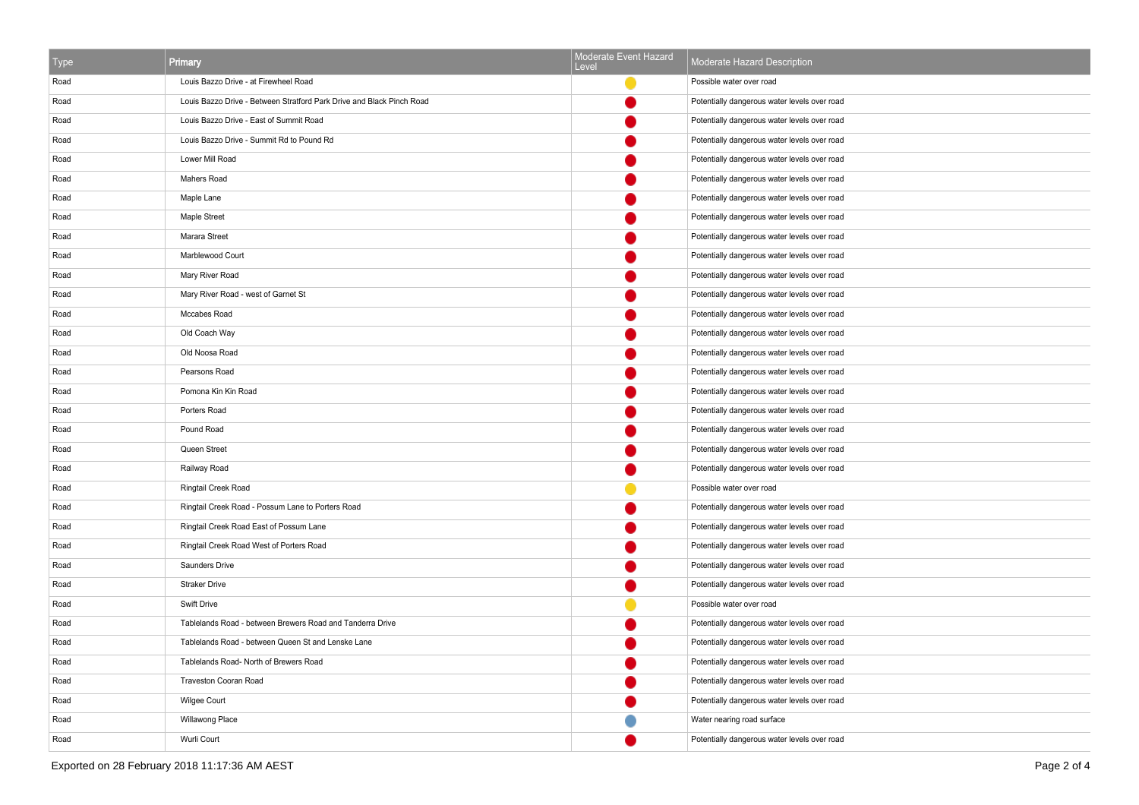| <b>Type</b> | Primary                                                               | Moderate Event Hazard<br>Level | Moderate Hazard Description                  |
|-------------|-----------------------------------------------------------------------|--------------------------------|----------------------------------------------|
| Road        | Louis Bazzo Drive - at Firewheel Road                                 |                                | Possible water over road                     |
| Road        | Louis Bazzo Drive - Between Stratford Park Drive and Black Pinch Road |                                | Potentially dangerous water levels over road |
| Road        | Louis Bazzo Drive - East of Summit Road                               |                                | Potentially dangerous water levels over road |
| Road        | Louis Bazzo Drive - Summit Rd to Pound Rd                             |                                | Potentially dangerous water levels over road |
| Road        | Lower Mill Road                                                       |                                | Potentially dangerous water levels over road |
| Road        | Mahers Road                                                           |                                | Potentially dangerous water levels over road |
| Road        | Maple Lane                                                            |                                | Potentially dangerous water levels over road |
| Road        | Maple Street                                                          |                                | Potentially dangerous water levels over road |
| Road        | Marara Street                                                         |                                | Potentially dangerous water levels over road |
| Road        | Marblewood Court                                                      |                                | Potentially dangerous water levels over road |
| Road        | Mary River Road                                                       |                                | Potentially dangerous water levels over road |
| Road        | Mary River Road - west of Garnet St                                   |                                | Potentially dangerous water levels over road |
| Road        | Mccabes Road                                                          |                                | Potentially dangerous water levels over road |
| Road        | Old Coach Way                                                         |                                | Potentially dangerous water levels over road |
| Road        | Old Noosa Road                                                        |                                | Potentially dangerous water levels over road |
| Road        | Pearsons Road                                                         |                                | Potentially dangerous water levels over road |
| Road        | Pomona Kin Kin Road                                                   |                                | Potentially dangerous water levels over road |
| Road        | Porters Road                                                          |                                | Potentially dangerous water levels over road |
| Road        | Pound Road                                                            |                                | Potentially dangerous water levels over road |
| Road        | Queen Street                                                          |                                | Potentially dangerous water levels over road |
| Road        | Railway Road                                                          |                                | Potentially dangerous water levels over road |
| Road        | Ringtail Creek Road                                                   |                                | Possible water over road                     |
| Road        | Ringtail Creek Road - Possum Lane to Porters Road                     |                                | Potentially dangerous water levels over road |
| Road        | Ringtail Creek Road East of Possum Lane                               |                                | Potentially dangerous water levels over road |
| Road        | Ringtail Creek Road West of Porters Road                              |                                | Potentially dangerous water levels over road |
| Road        | Saunders Drive                                                        |                                | Potentially dangerous water levels over road |
| Road        | <b>Straker Drive</b>                                                  |                                | Potentially dangerous water levels over road |
| Road        | Swift Drive                                                           |                                | Possible water over road                     |
| Road        | Tablelands Road - between Brewers Road and Tanderra Drive             |                                | Potentially dangerous water levels over road |
| Road        | Tablelands Road - between Queen St and Lenske Lane                    |                                | Potentially dangerous water levels over road |
| Road        | Tablelands Road- North of Brewers Road                                |                                | Potentially dangerous water levels over road |
| Road        | Traveston Cooran Road                                                 |                                | Potentially dangerous water levels over road |
| Road        | Wilgee Court                                                          |                                | Potentially dangerous water levels over road |
| Road        | Willawong Place                                                       |                                | Water nearing road surface                   |
| Road        | Wurli Court                                                           |                                | Potentially dangerous water levels over road |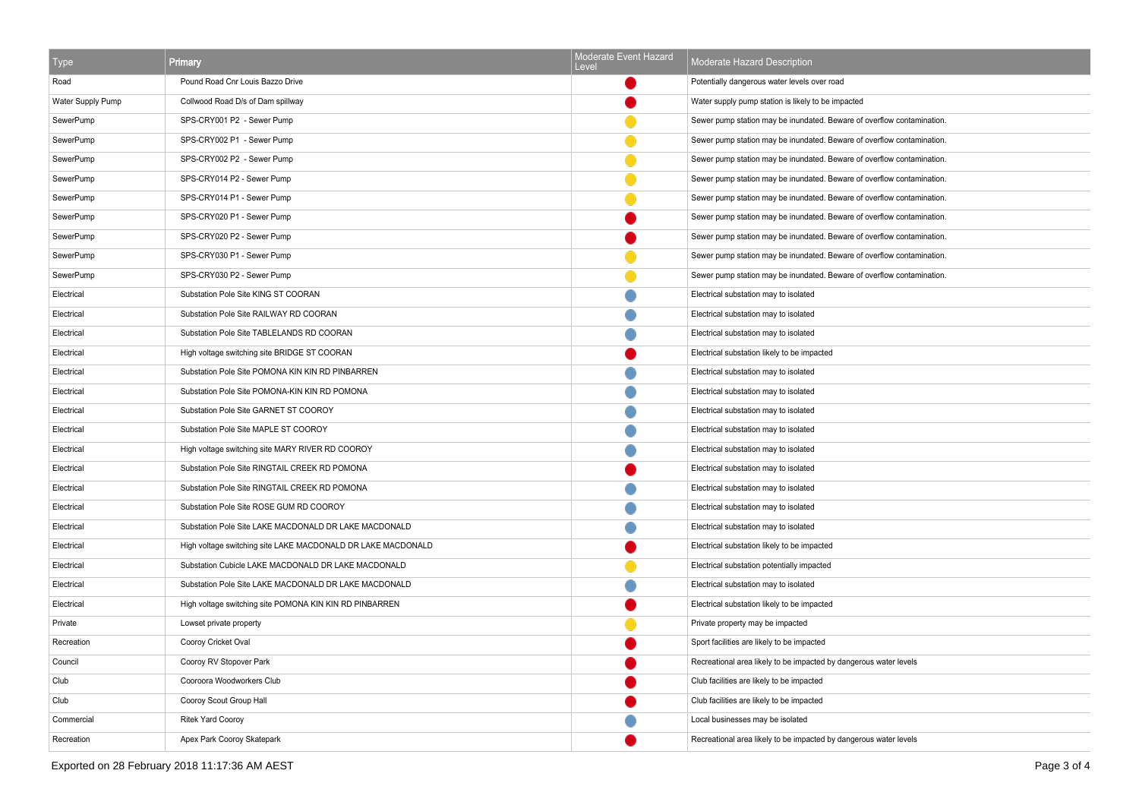| Type              | <b>Primary</b>                                               | Moderate Event Hazard<br>Level | Moderate Hazard Description                                            |
|-------------------|--------------------------------------------------------------|--------------------------------|------------------------------------------------------------------------|
| Road              | Pound Road Cnr Louis Bazzo Drive                             |                                | Potentially dangerous water levels over road                           |
| Water Supply Pump | Collwood Road D/s of Dam spillway                            |                                | Water supply pump station is likely to be impacted                     |
| SewerPump         | SPS-CRY001 P2 - Sewer Pump                                   |                                | Sewer pump station may be inundated. Beware of overflow contamination. |
| SewerPump         | SPS-CRY002 P1 - Sewer Pump                                   |                                | Sewer pump station may be inundated. Beware of overflow contamination. |
| SewerPump         | SPS-CRY002 P2 - Sewer Pump                                   |                                | Sewer pump station may be inundated. Beware of overflow contamination. |
| SewerPump         | SPS-CRY014 P2 - Sewer Pump                                   |                                | Sewer pump station may be inundated. Beware of overflow contamination. |
| SewerPump         | SPS-CRY014 P1 - Sewer Pump                                   |                                | Sewer pump station may be inundated. Beware of overflow contamination. |
| SewerPump         | SPS-CRY020 P1 - Sewer Pump                                   |                                | Sewer pump station may be inundated. Beware of overflow contamination. |
| SewerPump         | SPS-CRY020 P2 - Sewer Pump                                   |                                | Sewer pump station may be inundated. Beware of overflow contamination. |
| SewerPump         | SPS-CRY030 P1 - Sewer Pump                                   |                                | Sewer pump station may be inundated. Beware of overflow contamination. |
| SewerPump         | SPS-CRY030 P2 - Sewer Pump                                   |                                | Sewer pump station may be inundated. Beware of overflow contamination. |
| Electrical        | Substation Pole Site KING ST COORAN                          |                                | Electrical substation may to isolated                                  |
| Electrical        | Substation Pole Site RAILWAY RD COORAN                       |                                | Electrical substation may to isolated                                  |
| Electrical        | Substation Pole Site TABLELANDS RD COORAN                    |                                | Electrical substation may to isolated                                  |
| Electrical        | High voltage switching site BRIDGE ST COORAN                 |                                | Electrical substation likely to be impacted                            |
| Electrical        | Substation Pole Site POMONA KIN KIN RD PINBARREN             |                                | Electrical substation may to isolated                                  |
| Electrical        | Substation Pole Site POMONA-KIN KIN RD POMONA                |                                | Electrical substation may to isolated                                  |
| Electrical        | Substation Pole Site GARNET ST COOROY                        |                                | Electrical substation may to isolated                                  |
| Electrical        | Substation Pole Site MAPLE ST COOROY                         |                                | Electrical substation may to isolated                                  |
| Electrical        | High voltage switching site MARY RIVER RD COOROY             |                                | Electrical substation may to isolated                                  |
| Electrical        | Substation Pole Site RINGTAIL CREEK RD POMONA                |                                | Electrical substation may to isolated                                  |
| Electrical        | Substation Pole Site RINGTAIL CREEK RD POMONA                |                                | Electrical substation may to isolated                                  |
| Electrical        | Substation Pole Site ROSE GUM RD COOROY                      |                                | Electrical substation may to isolated                                  |
| Electrical        | Substation Pole Site LAKE MACDONALD DR LAKE MACDONALD        |                                | Electrical substation may to isolated                                  |
| Electrical        | High voltage switching site LAKE MACDONALD DR LAKE MACDONALD |                                | Electrical substation likely to be impacted                            |
| Electrical        | Substation Cubicle LAKE MACDONALD DR LAKE MACDONALD          |                                | Electrical substation potentially impacted                             |
| Electrical        | Substation Pole Site LAKE MACDONALD DR LAKE MACDONALD        |                                | Electrical substation may to isolated                                  |
| Electrical        | High voltage switching site POMONA KIN KIN RD PINBARREN      |                                | Electrical substation likely to be impacted                            |
| Private           | Lowset private property                                      |                                | Private property may be impacted                                       |
| Recreation        | Cooroy Cricket Oval                                          |                                | Sport facilities are likely to be impacted                             |
| Council           | Cooroy RV Stopover Park                                      |                                | Recreational area likely to be impacted by dangerous water levels      |
| Club              | Cooroora Woodworkers Club                                    |                                | Club facilities are likely to be impacted                              |
| Club              | Cooroy Scout Group Hall                                      |                                | Club facilities are likely to be impacted                              |
| Commercial        | <b>Ritek Yard Cooroy</b>                                     |                                | Local businesses may be isolated                                       |
| Recreation        | Apex Park Cooroy Skatepark                                   |                                | Recreational area likely to be impacted by dangerous water levels      |